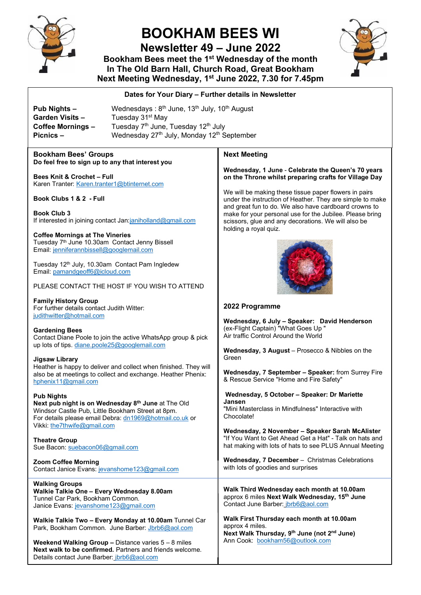

# **BOOKHAM BEES WI**

**Newsletter 49 – June 2022** 

**Bookham Bees meet the 1st Wednesday of the month In The Old Barn Hall, Church Road, Great Bookham Next Meeting Wednesday, 1st June 2022, 7.30 for 7.45pm**



#### **Dates for Your Diary – Further details in Newsletter**

**Pub Nights – Wednesdays: 8<sup>th</sup> June, 13<sup>th</sup> July, 10<sup>th</sup> August Garden Visits – Tuesday 31st May Coffee Mornings –** Tuesday 7<sup>th</sup> June, Tuesday 12<sup>th</sup> July<br>**Picnics – Wednesday 27<sup>th</sup> July Monday 12<sup>th</sup> S** Wednesday 27<sup>th</sup> July, Monday 12<sup>th</sup> September

#### **Bookham Bees' Groups Do feel free to sign up to any that interest you**

**Bees Knit & Crochet – Full** Karen Tranter[: Karen.tranter1@btinternet.com](mailto:Karen.tranter1@btinternet.com)

**Book Clubs 1 & 2 - Full**

**Book Club 3** If interested in joining contact Jan[:janiholland@gmail.com](mailto:janiholland@gmail.com) 

**Coffee Mornings at The Vineries** Tuesday 7<sup>th</sup> June 10.30am Contact Jenny Bissell Email[: jenniferannbissell@googlemail.com](mailto:jenniferannbissell@googlemail.com)

Tuesday 12th July, 10.30am Contact Pam Ingledew Email[: pamandgeoff6@icloud.com](mailto:pamandgeoff6@icloud.com)

PLEASE CONTACT THE HOST IF YOU WISH TO ATTEND

**Family History Group**  For further details contact Judith Witter: [judithwitter@hotmail.com](mailto:judithwitter@hotmail.com)

#### **Gardening Bees**

Contact Diane Poole to join the active WhatsApp group & pick up lots of tips. [diane.poole25@googlemail.com](mailto:diane.poole25@googlemail.com)

#### **Jigsaw Library**

Heather is happy to deliver and collect when finished. They will also be at meetings to collect and exchange. Heather Phenix: [hphenix11@gmail.com](mailto:hphenix11@gmail.com)

#### **Pub Nights**

**Next pub night is on Wednesday 8th June** at The Old Windsor Castle Pub, Little Bookham Street at 8pm. For details please email Debra: [dn1969@hotmail.co.uk](mailto:dn1969@hotmail.co.uk) or Vikki: [the7thwife@gmail.com](mailto:the7thwife@gmail.com)

**Theatre Group** Sue Bacon: [suebacon06@gmail.com](mailto:suebacon06@gmail.com) 

**Zoom Coffee Morning** Contact Janice Evans: [jevanshome123@gmail.com](mailto:jevanshome123@gmail.com)

**Walking Groups Walkie Talkie One – Every Wednesday 8.00am** Tunnel Car Park, Bookham Common. Janice Evans[: jevanshome123@gmail.com](mailto:jevanshome123@gmail.com)

**Walkie Talkie Two – Every Monday at 10.00am** Tunnel Car Park, Bookham Common. June Barber: [Jbrb6@aol.com](mailto:Jbrb6@aol.com)

**Weekend Walking Group –** Distance varies 5 – 8 miles **Next walk to be confirmed.** Partners and friends welcome. Details contact June Barber: [jbrb6@aol.com](mailto:jbrb6@aol.com)

#### **Next Meeting**

#### **Wednesday, 1 June** - **Celebrate the Queen's 70 years on the Throne whilst preparing crafts for Village Day**

We will be making these tissue paper flowers in pairs under the instruction of Heather. They are simple to make and great fun to do. We also have cardboard crowns to make for your personal use for the Jubilee. Please bring scissors, glue and any decorations. We will also be holding a royal quiz.



#### **2022 Programme**

**Wednesday, 6 July – Speaker: David Henderson** (ex-Flight Captain) "What Goes Up " Air traffic Control Around the World

**Wednesday, 3 August** – Prosecco & Nibbles on the Green

**Wednesday, 7 September – Speaker:** from Surrey Fire & Rescue Service "Home and Fire Safety"

**Wednesday, 5 October – Speaker: Dr Mariette Jansen** "Mini Masterclass in Mindfulness" Interactive with Chocolate!

**Wednesday, 2 November – Speaker Sarah McAlister** "If You Want to Get Ahead Get a Hat" - Talk on hats and hat making with lots of hats to see PLUS Annual Meeting

**Wednesday, 7 December** – Christmas Celebrations with lots of goodies and surprises

**Walk Third Wednesday each month at 10.00am** approx 6 miles **Next Walk Wednesday, 15th June** Contact June Barber: [jbrb6@aol.com](mailto:jbrb6@aol.com)

**Walk First Thursday each month at 10.00am**  approx 4 miles. **Next Walk Thursday, 9th June (not 2nd June)** Ann Cook: [bookham56@outlook.com](mailto:bookham56@outlook.com)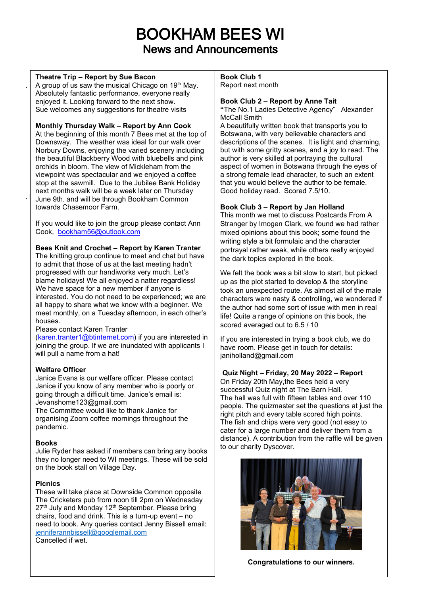# BOOKHAM BEES WI News and Announcements

#### **Theatre Trip – Report by Sue Bacon**

.

A group of us saw the musical Chicago on 19<sup>th</sup> May. Absolutely fantastic performance, everyone really enjoyed it. Looking forward to the next show. Sue welcomes any suggestions for theatre visits

## **Monthly Thursday Walk – Report by Ann Cook**

 $\cdot$  June 9th. and will be through Bookham Common At the beginning of this month 7 Bees met at the top of Downsway. The weather was ideal for our walk over Norbury Downs, enjoying the varied scenery including the beautiful Blackberry Wood with bluebells and pink orchids in bloom. The view of Mickleham from the viewpoint was spectacular and we enjoyed a coffee stop at the sawmill. Due to the Jubilee Bank Holiday next months walk will be a week later on Thursday towards Chasemoor Farm.

If you would like to join the group please contact Ann Cook, [bookham56@outlook.com](mailto:bookham56@outlook.com)

### **Bees Knit and Crochet** – **Report by Karen Tranter**

The knitting group continue to meet and chat but have to admit that those of us at the last meeting hadn't progressed with our handiworks very much. Let's blame holidays! We all enjoyed a natter regardless! We have space for a new member if anyone is interested. You do not need to be experienced; we are all happy to share what we know with a beginner. We meet monthly, on a Tuesday afternoon, in each other's houses.

#### Please contact Karen Tranter

[\(karen.tranter1@btinternet.com\)](mailto:karen.tranter1@btinternet.com) if you are interested in joining the group. If we are inundated with applicants I will pull a name from a hat!

#### **Welfare Officer**

Janice Evans is our welfare officer. Please contact Janice if you know of any member who is poorly or going through a difficult time. Janice's email is: Jevanshome123@gmail.com

The Committee would like to thank Janice for organising Zoom coffee mornings throughout the pandemic.

# **Books**

Julie Ryder has asked if members can bring any books they no longer need to WI meetings. These will be sold on the book stall on Village Day.

# **Picnics**

These will take place at Downside Common opposite The Cricketers pub from noon till 2pm on Wednesday 27<sup>th</sup> July and Monday 12<sup>th</sup> September. Please bring chairs, food and drink. This is a turn-up event – no need to book. Any queries contact Jenny Bissell email: [jenniferannbissell@googlemail.com](mailto:jenniferannbissell@googlemail.com) Cancelled if wet.

#### **Book Club 1**  Report next month

## **Book Club 2 – Report by Anne Tait**

**"**The No.1 Ladies Detective Agency" Alexander McCall Smith

A beautifully written book that transports you to Botswana, with very believable characters and descriptions of the scenes. It is light and charming, but with some gritty scenes, and a joy to read. The author is very skilled at portraying the cultural aspect of women in Botswana through the eyes of a strong female lead character, to such an extent that you would believe the author to be female. Good holiday read. Scored 7.5/10.

### **Book Club 3 – Report by Jan Holland**

This month we met to discuss Postcards From A Stranger by Imogen Clark, we found we had rather mixed opinions about this book; some found the writing style a bit formulaic and the character portrayal rather weak, while others really enjoyed the dark topics explored in the book.

We felt the book was a bit slow to start, but picked up as the plot started to develop & the storyline took an unexpected route. As almost all of the male characters were nasty & controlling, we wondered if the author had some sort of issue with men in real life! Quite a range of opinions on this book, the scored averaged out to 6.5 / 10

If you are interested in trying a book club, we do have room. Please get in touch for details: janiholland@gmail.com

# **Quiz Night – Friday, 20 May 2022 – Report**

On Friday 20th May,the Bees held a very successful Quiz night at The Barn Hall. The hall was full with fifteen tables and over 110 people. The quizmaster set the questions at just the right pitch and every table scored high points. The fish and chips were very good (not easy to cater for a large number and deliver them from a distance). A contribution from the raffle will be given to our charity Dyscover.



**Congratulations to our winners.**